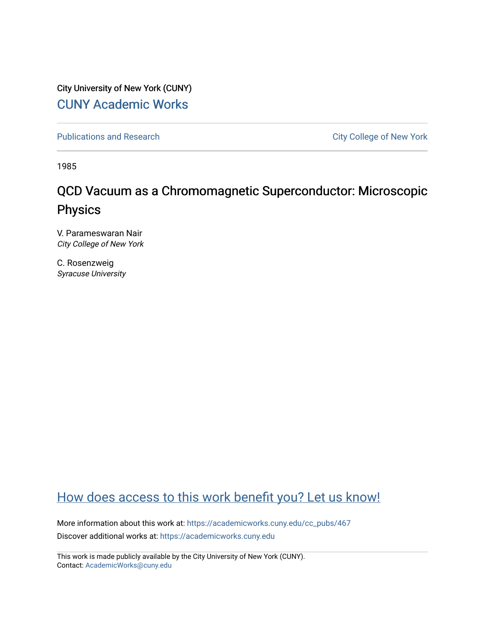City University of New York (CUNY) [CUNY Academic Works](https://academicworks.cuny.edu/) 

[Publications and Research](https://academicworks.cuny.edu/cc_pubs) **City College of New York** Publications and Research

1985

# QCD Vacuum as a Chromomagnetic Superconductor: Microscopic Physics

V. Parameswaran Nair City College of New York

C. Rosenzweig Syracuse University

## [How does access to this work benefit you? Let us know!](http://ols.cuny.edu/academicworks/?ref=https://academicworks.cuny.edu/cc_pubs/467)

More information about this work at: [https://academicworks.cuny.edu/cc\\_pubs/467](https://academicworks.cuny.edu/cc_pubs/467)  Discover additional works at: [https://academicworks.cuny.edu](https://academicworks.cuny.edu/?)

This work is made publicly available by the City University of New York (CUNY). Contact: [AcademicWorks@cuny.edu](mailto:AcademicWorks@cuny.edu)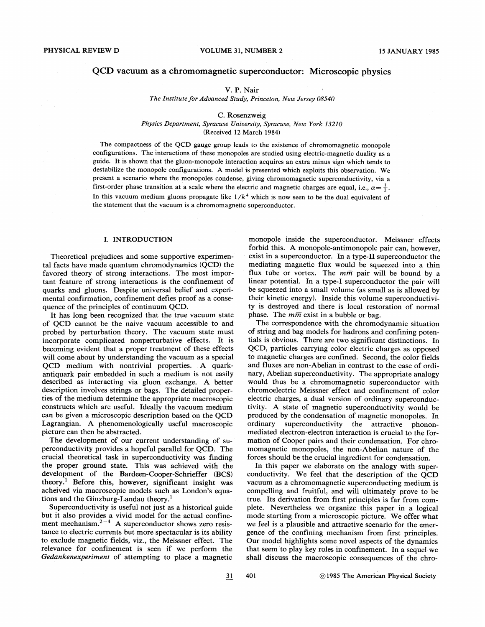### QCD vacuum as a chromomagnetic superconductor: Microscopic physics

#### V. P. Nair

The Institute for Advanced Study, Princeton, New Jersey 08540

#### C. Rosenzweig

Physics Department, Syracuse University, Syracuse, New York 13210 (Received 12 March 1984)

The compactness of the @CD gauge group leads to the existence of chromomagnetic monopole configurations. The interactions of these monopoles are studied using electric-magnetic duality as a guide. It is shown that the gluon-monopole interaction acquires an extra minus sign which tends to destabilize the monopole configurations. A model is presented which exploits this observation. We present a scenario where the monopoles condense, giving chromomagnetic superconductivity, via a first-order phase transition at a scale where the electric and magnetic charges are equal, i.e.,  $\alpha = \frac{1}{2}$ . In this vacuum medium gluons propagate like  $1/k<sup>4</sup>$  which is now seen to be the dual equivalent of the statement that the vacuum is a chromomagnetic superconductor.

#### I. INTRODUCTION

Theoretical prejudices and some supportive experimental facts have made quantum chromodynamics (QCD) the favored theory of strong interactions. The most important feature of strong interactions is the confinement of quarks and gluons. Despite universal belief and experimental confirmation, confinement defies proof as a consequence of the principles of continuum QCD.

It has long been recognized that the true vacuum state of QCD cannot be the naive vacuum accessible to and probed by perturbation theory. The vacuum state must incorporate complicated nonperturbative effects. It is becoming evident that a proper treatment of these effects will come about by understanding the vacuum as a special QCD medium with nontrivial properties. A quarkantiquark pair embedded in such a medium is not easily described as interacting via gluon exchange. A better description involves strings or bags. The detailed properties of the medium determine the appropriate macroscopic constructs which are useful. Ideally the vacuum medium can be given a microscopic description based on the QCD Lagrangian. A phenomenologically useful macroscopic picture can then be abstracted.

The development of our current understanding of superconductivity provides a hopeful parallel for QCD. The crucial theoretical task in superconductivity was finding the proper ground state. This was achieved with the development of the 8ardeen-Cooper-Schrieffer (BCS) theory.<sup>1</sup> Before this, however, significant insight was acheived via macroscopic models such as London's equations and the Ginzburg-Landau theory. '

Superconductivity is useful not just as a historical guide but it also provides a vivid model for the actual confine-<br>ment mechanism.<sup>2-4</sup> A superconductor shows zero resistance to electric currents but more spectacular is its ability to exclude magnetic fields, viz. , the Meissner effect. The relevance for confinement is seen if we perform the Gedankenexperiment of attempting to place a magnetic

monopole inside the superconductor. Meissner effects forbid this. A monopole-antimonopole pair can, however, exist in a superconductor. In a type-II superconductor the mediating magnetic flux would be squeezed into a thin flux tube or vortex. The  $m\bar{m}$  pair will be bound by a linear potential. In a type-I superconductor the pair will be squeezed into a small volume (as small as is allowed by their kinetic energy). Inside this volume superconductivity is destroyed and there is local restoration of normal phase. The  $m\bar{m}$  exist in a bubble or bag.

The correspondence with the chromodynamic situation of string and bag models for hadrons and confining potentials is obvious. There are two significant distinctions. In QCD, particles carrying color electric charges as opposed to magnetic charges are confined. Second, the color fields and fluxes are non-Abelian in contrast to the case of ordinary, Abelian superconductivity. The appropriate analogy would thus be a chromomagnetic superconductor with chromoelectric Meissner effect and confinement of color electric charges, a dual version of ordinary superconductivity. A state of magnetic superconductivity would be produced by the condensation of magnetic monopoles. In ordinary superconductivity the attractive phononmediated electron-electron interaction is crucial to the formation of Cooper pairs and their condensation. For chromomagnetic monopoles, the non-Abelian nature of the forces should be the crucial ingredient for condensation.

In this paper we elaborate on the analogy with superconductivity. We feel that the description of the QCD vacuum as a chromomagnetic superconducting medium is compelling and fruitful, and will ultimately prove to be true. Its derivation from first principles is far from complete. Nevertheless we organize this paper in a logical mode starting from a microscopic picture. We offer what we feel is a plausible and attractive scenario for the emergence of the confining mechanism from first principles. Our model highlights some novel aspects of the dynamics that seem to play key roles in confinement. In a sequel we shall discuss the macroscopic consequences of the chro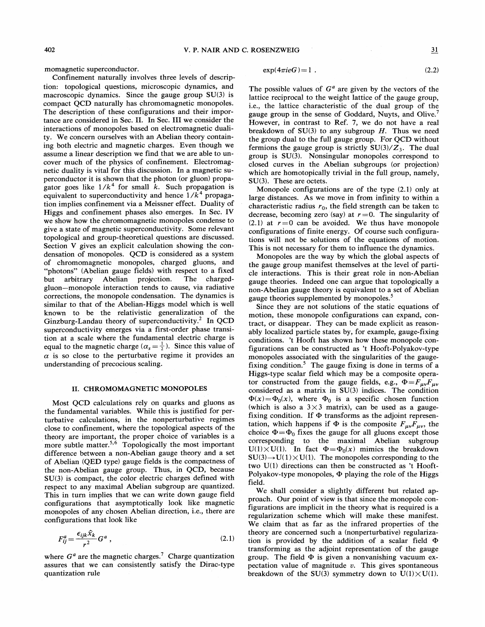momagnetic superconductor.

Confinement naturally involves three levels of description: topological questions, microscopic dynamics, and macroscopic dynamics. Since the gauge group SU(3) is compact QCD naturally has chromomagnetic monopoles. The description of these configurations and their importance are considered in Sec. II. In Sec. III we consider the interactions of monopoles based on electromagnetic duality. We concern ourselves with an Abelian theory containing both electric and magnetic charges. Even though we assume a linear description we find that we are able to uncover much of the physics of confinement. Electromagnetic duality is vital for this discussion, In a magnetic superconductor it is shown that the photon (or gluon) propagator goes like  $1/k<sup>4</sup>$  for small k. Such propagation is equivalent to superconductivity and hence  $1/k<sup>4</sup>$  propagation implies confinement via a Meissner effect. Duality of Higgs and confinement phases also emerges. In Sec. IV we show how the chromomagnetic monopoles condense to give a state of magnetic superconductivity. Some relevant topological and group-theoretical questions are discussed. Section V gives an explicit calculation showing the condensation of monopoles. QCD is considered as a system of chromomagnetic monopoles, charged gluons, and "photons" (Abelian gauge fields) with respect to a fixed but arbitrary Abelian projection. gluon —monopole interaction tends to cause, via radiative corrections, the monopole condensation. The dynamics is similar to that of the Abelian-Higgs model which is well known to be the relativistic generalization of the Ginzburg-Landau theory of superconductivity.<sup>2</sup> In QCD superconductivity emerges via a first-order phase transition at a scale where the fundamental electric charge is 'equal to the magnetic charge ( $\alpha_s = \frac{1}{2}$ ). Since this value of  $\alpha$  is so close to the perturbative regime it provides an understanding of precocious scaling.

#### II. CHROMOMAGNETIC MONOPOLES

Most QCD calculations rely on quarks and gluons as the fundamental variables. While this is justified for perturbative calculations, in the nonperturbative regimes close to confinement, where the topological aspects of the theory are important, the proper choice of variables is a more subtle matter.<sup>5,6</sup> Topologically the most important difference between a non-Abelian gauge theory and a set of Abelian (QED type) gauge fields is the compactness of the non-Abelian gauge group. Thus, in QCD, because SU(3) is compact, the color electric charges defined with respect to any maximal Abelian subgroup are quantized. This in turn implies that we can write down gauge field configurations that asymptotically look like magnetic monopoles of any chosen Abelian direction, i.e., there are configurations that look like

$$
F_{ij}^a = \frac{\epsilon_{ijk}\hat{x}_k}{r^2}G^a \,,\tag{2.1}
$$

where  $G<sup>a</sup>$  are the magnetic charges.<sup>7</sup> Charge quantization assures that we can consistently satisfy the Dirac-type quantization rule

$$
\exp(4\pi i eG) = 1.
$$
 (2.2)

The possible values of  $G<sup>a</sup>$  are given by the vectors of the lattice reciprocal to the weight lattice of the gauge group, i.e., the lattice characteristic of the dual group of the gauge group in the sense of Goddard, Nuyts, and Olive.<sup>7</sup> However, in contrast to Ref. 7, we do not have a real breakdown of  $SU(3)$  to any subgroup  $H$ . Thus we need the group dual to the full gauge group. For QCD without fermions the gauge group is strictly  $SU(3)/Z_3$ . The dual group is SU(3). Nonsingular monopoles correspond to closed curves in the Abelian subgroups (or projection) which are homotopically trivial in the full group, namely, SU(3). These are octets.

Monopole configurations are of the type (2.1) only at large distances. As we move in from infinity to within a characteristic radius  $r_0$ , the field strength can be taken to decrease, becoming zero (say) at  $r=0$ . The singularity of (2.1) at  $r=0$  can be avoided. We thus have monopole configurations of finite energy. Of course such configurations will not be solutions of the equations of motion. This is not necessary for them to influence the dynamics.

Monopoles are the way by which the global aspects of the gauge group manifest themselves at the level of particle interactions. This is their great role in non-Abelian gauge theories. Indeed one can argue that topologically a non-Abelian gauge theory is equivalent to a set of Abelian gauge theories supplemented by monopoles.<sup>5</sup>

Since they are not solutions of the static equations of motion, these monopole configurations can expand, contract, or disappear. They can be made explicit as reasonably localized particle states by, for example, gauge-fixing conditions. 't Hooft has shown how these monopole configurations can be constructed as 't Hooft-Polyakov-type monopoles associated with the singularities of the gaugefixing condition.<sup>5</sup> The gauge fixing is done in terms of a Higgs-type scalar field which may be a composite operator constructed from the gauge fields, e.g.,  $\Phi = F_{\mu\nu}F_{\mu\nu}$ considered as a matrix in SU(3) indices. The condition  $\Phi(x) = \Phi_0(x)$ , where  $\Phi_0$  is a specific chosen function (which is also a  $3\times3$  matrix), can be used as a gaugefixing condition. If  $\Phi$  transforms as the adjoint representation, which happens if  $\Phi$  is the composite  $F_{\mu\nu}F_{\mu\nu}$ , the choice  $\Phi = \Phi_0$  fixes the gauge for all gluons except those corresponding to the maximal Abelian subgroup  $U(1) \times U(1)$ . In fact  $\Phi = \Phi_0(x)$  mimics the breakdown  $SU(3) \rightarrow U(1) \times U(1)$ . The monopoles corresponding to the two U(1) directions can then be constructed as 't Hooft-Polyakov-type monopoles,  $\Phi$  playing the role of the Higgs field.

We shall consider a slightly different but related approach. Our point of view is that since the monopole configurations are implicit in the theory what is required is a regularization scheme which will make these manifest. We claim that as far as the infrared properties of the theory are concerned such a (nonperturbative) regularization is provided by the addition of a scalar field  $\Phi$ transforming as the adjoint representation of the gauge group. The field  $\Phi$  is given a nonvanishing vacuum expectation value of magnitude  $v$ . This gives spontaneous breakdown of the SU(3) symmetry down to U(1) $\times$ U(1).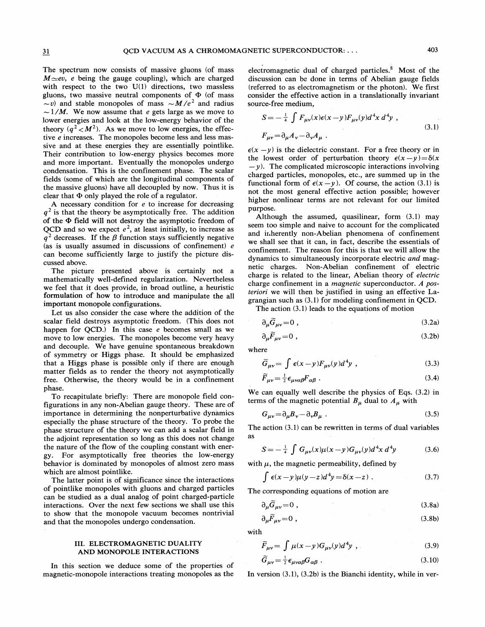The spectrum now consists of massive gluons (of mass  $M \simeq e\nu$ , e being the gauge coupling), which are charged with respect to the two U(1) directions, two massless gluons, two massive neutral components of  $\Phi$  (of mass  $- v$ ) and stable monopoles of mass  $-M/e^2$  and radius  $-1/M$ . We now assume that *e* gets large as we move to lower energies and look at the low-energy behavior of the theory  $(q^2 < M^2)$ . As we move to low energies, the effective e increases. The monopoles become less and less massive and at these energies they are essentially pointlike. Their contribution to low-energy physics becomes more and more important. Eventually the monopoles undergo condensation. This is the confinement phase. The scalar fields (some of which are the longitudinal components of the massive gluons) have all decoupled by now. Thus it is clear that  $\Phi$  only played the role of a regulator.

A necessary condition for e to increase for decreasing  $q^2$  is that the theory be asymptotically free. The addition of the  $\Phi$  field will not destroy the asymptotic freedom of QCD and so we expect  $e^2$ , at least initially, to increase as  $q^2$  decreases. If the  $\beta$  function stays sufficiently negative (as is usually assumed in discussions of confinement)  $e$ can become sufficiently large to justify the picture discussed above.

The picture presented above is certainly not a mathematically well-defined regularization. Nevertheless we feel that it does provide, in broad outline, a heuristic formulation of how to introduce and manipulate the all important monopole configurations.

Let us also consider the case where the addition of the scalar field destroys asymptotic freedom. (This does not happen for  $QCD$ .) In this case  $e$  becomes small as we move to low energies. The monopoles become very heavy and decouple. We have genuine spontaneous breakdown of symmetry or Higgs phase. It should be emphasized that a Higgs phase is possible only if there are enough matter fields as to render the theory not asymptotically free. Otherwise, the theory would be in a confinement phase.

To recapitulate briefly: There are monopole field configurations in any non-Abelian gauge theory. These are of importance in determining the nonperturbative dynamics especially the phase structure of the theory. To probe the phase structure of the theory we can add a scalar field in the adjoint representation so long as this does not change the nature of the flow of the coupling constant with energy. For asymptotically free theories the low-energy behavior is dominated by monopoles of almost zero mass which are almost pointlike.

The latter point is of significance since the interactions of pointlike monopoles with gluons and charged particles can be studied as a dual analog of point charged-particle interactions. Over the next few sections we shall use this to show that the monopole vacuum becomes nontrivial and that the monopoles undergo condensation.

#### III. ELECTROMAGNETIC DUALITY AND MONOPOLE INTERACTIONS

In this section we deduce some of the properties of magnetic-monopole interactions treating monopoles as the electromagnetic dual of charged particles.<sup>8</sup> Most of the discussion can be done in terms of Abelian gauge fields (referred to as electromagnetism or the photon). We first consider the effective action in a translationally invariant source-free medium,

$$
S = -\frac{1}{4} \int F_{\mu\nu}(x)\epsilon(x-y)F_{\mu\nu}(y)d^4x d^4y,
$$
  
\n
$$
F_{\mu\nu} = \partial_{\mu}A_{\nu} - \partial_{\nu}A_{\mu}.
$$
\n(3.1)

 $\epsilon(x - y)$  is the dielectric constant. For a free theory or in the lowest order of perturbation theory  $\epsilon(x - y) = \delta(x)$  $-y$ ). The complicated microscopic interactions involving charged particles, monopoles, etc., are summed up in the functional form of  $\epsilon(x-y)$ . Of course, the action (3.1) is not the most general effective action possible; however higher nonlinear terms are not relevant for our limited purpose.

Although the assumed, quasilinear, form  $(3.1)$  may seem too simple and naive to account for the complicated and ir,herently non-Abelian phenomena of confinement we shall see that it can, in fact, describe the essentials of confinement. The reason for this is that we will allow the dynamics to simultaneously incorporate electric and magnetic charges. Non-Abelian confinement of electric charge is related to the linear, Abelian theory of electric charge confinement in a *magnetic* superconductor. A posteriori we will then be justified in using an effective Lagrangian such as (3.1) for modeling confinement in QCD.

The action (3.1) leads to the equations of motion

$$
\partial_{\mu}\widetilde{G}_{\mu\nu}=0\ ,\tag{3.2a}
$$

$$
\partial_{\mu}\widetilde{F}_{\mu\nu}=0\ ,\tag{3.2b}
$$

where

$$
\widetilde{G}_{\mu\nu} = \int \epsilon(x - y) F_{\mu\nu}(y) d^4 y \tag{3.3}
$$

$$
\ddot{F}_{\mu\nu} = \frac{1}{2} \epsilon_{\mu\nu\alpha\beta} F_{\alpha\beta} \tag{3.4}
$$

We can equally well describe the physics of Eqs. (3.2) in terms of the magnetic potential  $B_{\mu}$  dual to  $A_{\mu}$  with

$$
G_{\mu\nu} = \partial_{\mu}B_{\nu} - \partial_{\nu}B_{\mu} \tag{3.5}
$$

The action (3.1) can be rewritten in terms of dual variables as

$$
S = -\frac{1}{4} \int G_{\mu\nu}(x)\mu(x-y)G_{\mu\nu}(y)d^4x d^4y \qquad (3.6)
$$

with  $\mu$ , the magnetic permeability, defined by

$$
\int \epsilon(x-y)\mu(y-z)d^4y = \delta(x-z) . \qquad (3.7)
$$

The corresponding equations of motion are

$$
\partial_{\mu}\widetilde{G}_{\mu\nu} = 0 \tag{3.8a}
$$

$$
\partial_{\mu}\widetilde{F}_{\mu\nu}=0\ ,\tag{3.8b}
$$

with

$$
\widetilde{F}_{\mu\nu} = \int \mu(x-y) G_{\mu\nu}(y) d^4y \tag{3.9}
$$

$$
\widetilde{G}_{\mu\nu} = \frac{1}{2} \epsilon_{\mu\nu\alpha\beta} G_{\alpha\beta} \tag{3.10}
$$

In version (3.1), (3.2b) is the Bianchi identity, while in ver-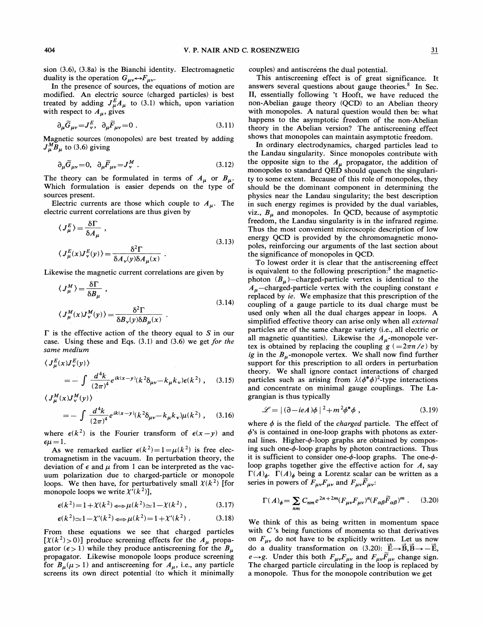sion (3.6), (3.8a) is the Bianchi identity. Electromagnetic duality is the operation  $G_{\mu\nu} \leftrightarrow F_{\mu\nu}$ .

In the presence of sources, the equations of motion are modified. An electric source (charged particles) is best treated by adding  $J_{\mu}^{E}A_{\mu}$  to (3.1) which, upon variation with respect to  $A_{\mu}$ , gives

$$
\partial_{\mu}\widetilde{G}_{\mu\nu} = J_{\nu}^{E}, \quad \partial_{\mu}\widetilde{F}_{\mu\nu} = 0 \tag{3.11}
$$

Magnetic sources (monopoles) are best treated by adding  $J^M_\mu B_\mu$  to (3.6) giving

$$
\partial_{\mu}\widetilde{G}_{\mu\nu} = 0, \quad \partial_{\mu}\widetilde{F}_{\mu\nu} = J_{\nu}^{M} \tag{3.12}
$$

The theory can be formulated in terms of  $A_{\mu}$  or  $B_{\mu}$ . Which formulation is easier depends on the type of sources present.

Electric currents are those which couple to  $A_{\mu}$ . The electric current correlations are thus given by

$$
\langle J_{\mu}^{E} \rangle = \frac{\delta \Gamma}{\delta A_{\mu}},
$$
  

$$
\langle J_{\mu}^{E}(x) J_{\nu}^{E}(y) \rangle = \frac{\delta^{2} \Gamma}{\delta A_{\nu}(y) \delta A_{\mu}(x)}.
$$
 (3.13)

Likewise the magnetic current correlations are given by

$$
\langle J_{\mu}^{M} \rangle = \frac{\delta \Gamma}{\delta B_{\mu}},
$$
  

$$
\langle J_{\mu}^{M}(x) J_{\nu}^{M}(y) \rangle = \frac{\delta^{2} \Gamma}{\delta B_{\nu}(y) \delta B_{\mu}(x)}.
$$
 (3.14)

 $\Gamma$  is the effective action of the theory equal to S in our case. Using these and Eqs. (3.1) and (3.6) we get for the same medium

$$
\langle J^E_\mu(x) J^E_\nu(y) \rangle
$$
  
=  $-\int \frac{d^4k}{(2\pi)^4} e^{ik(x-y)} (k^2 \delta_{\mu\nu} - k_\mu k_\nu) \epsilon(k^2)$ , (3.15)

$$
\langle J_{\mu}^{M}(x)J_{\nu}^{M}(y)\rangle = -\int \frac{d^{4}k}{(2\pi)^{4}}e^{ik(x-y)}(k^{2}\delta_{\mu\nu} - k_{\mu}k_{\nu})\mu(k^{2}) , \quad (3.16)
$$

where  $\epsilon(k^2)$  is the Fourier transform of  $\epsilon(x-y)$  and  $\epsilon \mu = 1.$ 

As we remarked earlier  $\epsilon(k^2)=1=\mu(k^2)$  is free electromagnetism in the vacuum. In perturbation theory, the deviation of  $\epsilon$  and  $\mu$  from 1 can be interpreted as the vacuum polarization due to charged-particle or monopole loops. We then have, for perturbatively small  $\chi(k^2)$  [for monopole loops we write  $\chi'(k^2)$ ],

$$
\epsilon(k^2) = 1 + \chi(k^2) \Longleftrightarrow \mu(k^2) \simeq 1 - \chi(k^2) , \qquad (3.17)
$$

$$
\epsilon(k^2) \approx 1 - \chi'(k^2) \Longleftrightarrow \mu(k^2) = 1 + \chi'(k^2) . \tag{3.18}
$$

From these equations we see that charged particles  $[\chi(k^2) > 0]$  produce screening effects for the  $A_\mu$  propagator ( $\epsilon > 1$ ) while they produce antiscreening for the  $B_{\mu}$ propagator. Likewise monopole loops produce screening for  $B_{\mu}(\mu > 1)$  and antiscreening for  $A_{\mu}$ , i.e., any particle screens its own direct potential (to which it minimally

couples) and antiscreens the dual potential.

This antiscreening effect is of great significance. It answers several questions about gauge theories. $8$  In Sec. II, essentially following 't Hooft, we have reduced the non-Abelian gauge theory (QCD) to an Abelian theory with monopoles. A natural question would then be: what happens to the asymptotic freedom of the non-Abelian theory in the Abelian version? The antiscreening effect shows that monopoles can maintain asymptotic freedom.

In ordinary electrodynamics, charged particles lead to the Landau singularity. Since monopoles contribute with the opposite sign to the  $A_{\mu}$  propagator, the addition of monopoles to standard QED should quench the singularity to some extent. Because of this role of monopoles, they should be the dominant component in determining the physics near the Landau singularity; the best description in such energy regimes is provided by the dua1 variables, viz.,  $B_u$  and monopoles. In QCD, because of asymptotic freedom, the Landau singularity is in the infrared regime. Thus the most convenient microscopic description of low energy QCD is provided by the chromomagnetic monopoles, reinforcing our arguments of the last section about the significance of monopoles in QCD.

To lowest order it is clear that the antiscreening effect is equivalent to the following prescription: $\delta$  the magneticphoton  $(B_u)$ —charged-particle vertex is identical to the  $A_{\mu}$ -charged-particle vertex with the coupling constant e replaced by ie. We emphasize that this prescription of the coupling of a gauge particle to its dual charge must be used only when all the dual charges appear in loops. A simplified effective theory can arise only when all *external* particles are of the same charge variety (i.e., all electric or all magnetic quantities). Likewise the  $A<sub>u</sub>$ -monopole vertex is obtained by replacing the coupling  $g =2\pi n/e$  by ig in the  $B_u$ -monopole vertex. We shall now find further support for this prescription to all orders in perturbation theory. We shall ignore contact interactions of charged particles such as arising from  $\lambda(\phi^*\phi)^2$ -type interactions and concentrate on minimal gauge couplings. The Lagrangian is thus typically

$$
\mathscr{L} = |(\partial - ieA)\phi|^2 + m^2 \phi^* \phi , \qquad (3.19)
$$

where  $\phi$  is the field of the *charged* particle. The effect of  $\phi$ 's is contained in one-loop graphs with photons as external lines. Higher- $\phi$ -loop graphs are obtained by composing such one- $\phi$ -loop graphs by photon contractions. Thus it is sufficient to consider one- $\phi$ -loop graphs. The one- $\phi$ loop graphs together give the effective action for  $A$ , say  $\Gamma(A)_{\phi}$ .  $\Gamma(A)_{\phi}$  being a Lorentz scalar can be written as a series in powers of  $F_{\mu\nu}F_{\mu\nu}$  and  $F_{\mu\nu}\tilde{F}_{\mu\nu}$ :

$$
\sum_{m} C_{nm} e^{2n+2m} (F_{\mu\nu} F_{\mu\nu})^n (F_{\alpha\beta} \tilde{F}_{\alpha\beta})^m \qquad (3.17)
$$

We think of this as being written in momentum space with  $C$ 's being functions of momenta so that derivatives on  $F_{\mu\nu}$  do not have to be explicitly written. Let us now do a duality transformation on (3.20):  $\vec{E} \rightarrow \vec{B}, \vec{B} \rightarrow -\vec{E}$ ,  $e \rightarrow g$ . Under this both  $F_{\mu\nu}F_{\mu\nu}$  and  $F_{\mu\nu}\tilde{F}_{\mu\nu}$  change sign. The charged particle circulating in the loop is replaced by a monopole. Thus for the monopole contribution we get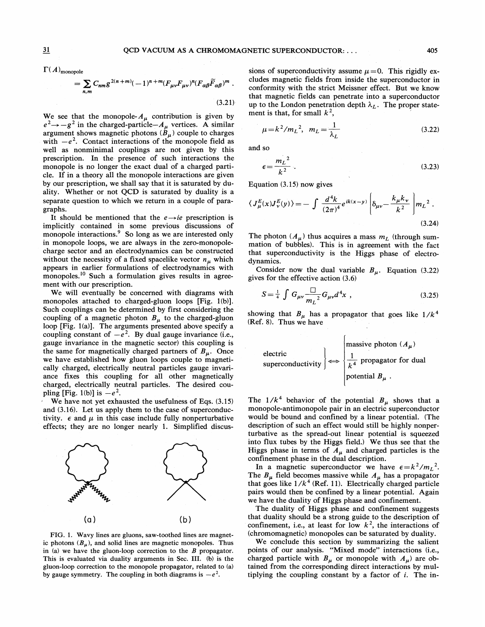$\Gamma(A)_{\rm monopole}$ 

$$
= \sum_{n,m} C_{nm} g^{2(n+m)} (-1)^{n+m} (F_{\mu\nu} F_{\mu\nu})^n (F_{\alpha\beta} \widetilde{F}_{\alpha\beta})^m.
$$
\n(3.21)

We see that the monopole- $A_{\mu}$  contribution is given by  $e^2 \rightarrow -g^2$  in the charged-particle- $A_{\mu}$  vertices. A similar argument shows magnetic photons  $(\tilde{B}_{\mu})$  couple to charges with  $-e^2$ . Contact interactions of the monopole field as well as nonminimal couplings are not given by this prescription. In the presence of such interactions the monopole is no longer the exact dual of a charged particle. If in a theory all the monopole interactions are given by our prescription, we shall say that it is saturated by duality. Whether or not @CD is saturated by duality is a separate question to which we return in a couple of paragraphs.

It should be mentioned that the  $e \rightarrow ie$  prescription is implicitly contained in some previous discussions of monopole interactions.<sup>9</sup> So long as we are interested only in monopole loops, we are always in the zero-monopolecharge sector and an electrodynamics can be constructed without the necessity of a fixed spacelike vector  $n<sub>u</sub>$  which appears in earlier formulations of electrodynamics with monopoles.<sup>10</sup> Such a formulation gives results in agreement with our prescription.

We will eventually be concerned with diagrams with monopoles attached to charged-gluon loops [Fig. 1(b)]. Such couplings can be determined by first considering the coupling of a magnetic photon  $B_{\mu}$  to the charged-gluon loop [Fig. 1(a)]. The arguments presented above specify a coupling constant of  $-e^2$ . By dual gauge invariance (i.e., gauge invariance in the magnetic sector) this coupling is the same for magnetically charged partners of  $B_{\mu}$ . Once we have established how gluon loops couple to magnetically charged, electrically neutral particles gauge invariance fixes this coupling for all other magnetically charged, electrically neutral particles. The desired coupling [Fig. 1(b)] is  $-e^2$ .

We have not yet exhausted the usefulness of Eqs. (3.15) and (3.16). Let us apply them to the case of superconductivity.  $\epsilon$  and  $\mu$  in this case include fully nonperturbative effects; they are no longer nearly 1. Simplified discus-



FIG. 1. Wavy lines are gluons, saw-toothed lines are magnetic photons  $(B<sub>u</sub>)$ , and solid lines are magnetic monopoles. Thus in (a) we have the gluon-loop correction to the  $B$  propagator. This is evaluated via duality arguments in Sec. III. (b) is the gluon-loop correction to the monopole propagator, related to (a) by gauge symmetry. The coupling in both diagrams is  $-e^2$ .

sions of superconductivity assume  $\mu=0$ . This rigidly excludes magnetic fields from inside the superconductor in conformity with the strict Meissner effect. But we know that magnetic fields can penetrate into a superconductor up to the London penetration depth  $\lambda_L$ . The proper statement is that, for small  $k^2$ ,

$$
\mu = k^2 / m_L^2, \ \ m_L = \frac{1}{\lambda_L} \tag{3.22}
$$

and so

$$
\epsilon = \frac{m_L^2}{k^2} \tag{3.23}
$$

Equation (3.15) now gives

$$
\langle J^E_\mu(x)J^E_\nu(y)\rangle = -\int \frac{d^4k}{(2\pi)^4} e^{ik(x-y)} \left[\delta_{\mu\nu} - \frac{k_\mu k_\nu}{k^2}\right] m_L^2.
$$
\n(3.24)

The photon  $(A_\mu)$  thus acquires a mass  $m_L$  (through summation of bubbles). This is in agreement with the fact that superconductivity is the Higgs phase of electrodynamics.

Consider now the dual variable  $B_{\mu}$ . Equation (3.22) gives for the effective action (3.6)

$$
S = \frac{1}{4} \int G_{\mu\nu} \frac{d}{m_L^2} G_{\mu\nu} d^4 x \tag{3.25}
$$

showing that  $B_{\mu}$  has a propagator that goes like  $1/k^4$ (Ref. 8). Thus we have

massive photon  $(A_\mu)$ electric<br>
superconductivity  $\left| \iff \frac{1}{k^4} \right|$  propagator for dual potential  $B_\mu$ .

The  $1/k^4$  behavior of the potential  $B_\mu$  shows that a monopole-antimonopole pair in an electric superconductor would be bound and confined by a linear potential. (The description of such an effect would still be highly nonperturbative as the spread-out linear potential is squeezed into flux tubes by the Higgs field. ) We thus see that the Higgs phase in terms of  $A_\mu$  and charged particles is the confinement phase in the dual description.

In a magnetic superconductor we have  $\epsilon = k^2 / m_L^2$ . The  $B_{\mu}$  field becomes massive while  $A_{\mu}$  has a propagator that goes like  $1/k<sup>4</sup>$  (Ref. 11). Electrically charged particle pairs would then be confined by a linear potential. Again we have the duality of Higgs phase and confinement.

The duality of Higgs phase and confinement suggests that duality should be a strong guide to the description of confinement, i.e., at least for low  $k^2$ , the interactions of (chromomagnetic) monopoles can be saturated by duality.

We conclude this section by summarizing the salient points of our analysis. "Mixed mode" interactions (i.e., charged particle with  $B_{\mu}$  or monopole with  $A_{\mu}$ ) are obtained from the corresponding direct interactions by multiplying the coupling constant by a factor of  $i$ . The in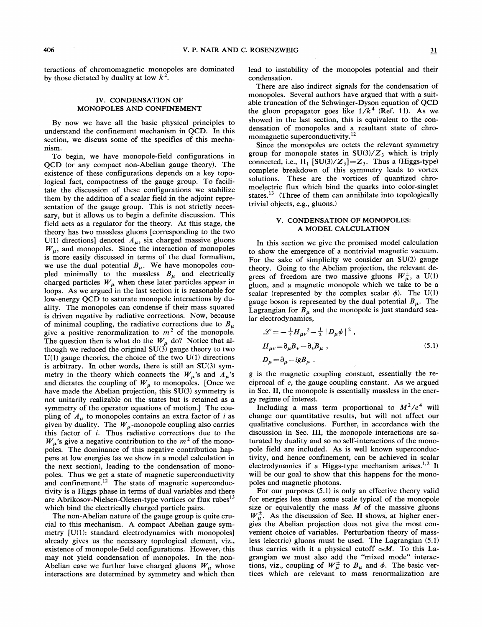teractions of chromomagnetic monopoles are dominated by those dictated by duality at low  $k^2$ .

#### IV. CONDENSATION OF MONOPOLES AND CONFINEMENT

By now we have all the basic physical principles to understand the confinement mechanism in QCD. In this section, we discuss some of the specifics of this mechanism.

To begin, we have monopole-field configurations in QCD (or any compact non-Abelian gauge theory). The existence of these configurations depends on a key topological fact, compactness of the gauge group. To facilitate the discussion of these configurations we stabilize them by the addition of a scalar field in the adjoint representation of the gauge group. This is not strictly necessary, but it allows us to begin a definite discussion. This field acts as a regulator for the theory. At this stage, the theory has two massless gluons [corresponding to the two U(1) directions] denoted  $A_{\mu}$ , six charged massive gluons  $W_{\mu}$ , and monopoles. Since the interaction of monopoles is more easily discussed in terms of the dual formalism, we use the dual potential  $B_{\mu}$ . We have monopoles coupled minimally to the massless  $B_{\mu}$  and electrically charged particles  $W_{\mu}$  when these later particles appear in loops. As we argued in the last section it is reasonable for low-energy QCD to saturate monopole interactions by duality. The monopoles can condense if their mass squared is driven negative by radiative corrections. Now, because of minimal coupling, the radiative corrections due to  $B_u$ give a positive renormalization to  $m<sup>2</sup>$  of the monopole. The question then is what do the  $W_u$  do? Notice that although we reduced the original  $SU(3)$  gauge theory to two  $U(1)$  gauge theories, the choice of the two  $U(1)$  directions is arbitrary. In other words, there is still an SU(3) symmetry in the theory which connects the  $W_{\mu}$ 's and  $A_{\mu}$ 's and dictates the coupling of  $W_\mu$  to monopoles. [Once we have made the Abelian projection, this SU(3) symmetry is not unitarily realizable on the states but is retained as a symmetry of the operator equations of motion.] The coupling of  $A_\mu$  to monopoles contains an extra factor of i as given by duality. The  $W_{\mu}$ -monopole coupling also carries this factor of  $i$ . Thus radiative corrections due to the  $W_{\mu}$ 's give a negative contribution to the  $m^2$  of the monopoles. The dominance of this negative contribution happens at low energies (as we show in a model calculation in the next section), leading to the condensation of monopoles. Thus we get a state of magnetic superconductivity and confinement.<sup>12</sup> The state of magnetic superconductivity is a Higgs phase in terms of dual variables and there are Abrikosov-Nielsen-Olesen-type vortices or flux tubes $13$ which bind the electrically charged particle pairs.

The non-Abelian nature of the gauge group is quite crucial to this mechanism. A compact Abelian gauge symmetry [U(1): standard electrodynamics with monopoles] already gives us the necessary topological element, viz., existence of monopole-field configurations. However, this may not yield condensation of monopoles. In the non-Abelian case we further have charged gluons  $W_{\mu}$  whose interactions are determined by symmetry and which then

lead to instability of the monopoles potential and their condensation.

There are also indirect signals for the condensation of monopoles. Several authors have argued that with a suitable truncation of the Schwinger-Dyson equation of QCD the gluon propagator goes like  $1/k<sup>4</sup>$  (Ref. 11). As we showed in the last section, this is equivalent to the condensation of monopoles and a resultant state of chromomagnetic superconductivity.<sup>12</sup>

Since the monopoles are octets the relevant symmetry group for monopole states in  $SU(3)/Z_3$  which is triply connected, i.e.,  $\Pi_1$  [SU(3)/Z<sub>3</sub>]=Z<sub>3</sub>. Thus a (Higgs-type) complete breakdown of this symmetry leads to vortex solutions. These are the vortices of quantized chromoelectric flux which bind the quarks into color-singlet states.<sup>13</sup> (Three of them can annihilate into topologically trivial objects, e.g., gluons. )

#### V. CONDENSATION OF MONOPOLES: A MODEL CALCULATION

In this section we give the promised model calculation to show the emergence of a nontrivial magnetic vacuum. For the sake of simplicity we consider an SU(2) gauge theory. Going to the Abelian projection, the relevant degrees of freedom are two massive gluons  $W^{\pm}_{\mu}$ , a U(1) gluon, and a magnetic monopole which we take to be a scalar (represented by the complex scalar  $\phi$ ). The U(1) gauge boson is represented by the dual potential  $B_{\mu}$ . The Lagrangian for  $B_u$  and the monopole is just standard scalar electrodynamics,

$$
\mathcal{L} = -\frac{1}{4}H_{\mu\nu}^2 - \frac{1}{2} |D_{\mu}\phi|^2,
$$
  
\n
$$
H_{\mu\nu} = \partial_{\mu}B_{\nu} - \partial_{\nu}B_{\mu},
$$
  
\n
$$
D_{\mu} = \partial_{\mu} - igB_{\mu}.
$$
\n(5.1)

g is the magnetic coupling constant, essentially the reciprocal of e, the gauge coupling constant. As we argued in Sec. II, the monopole is essentially massless in the energy regime of interest.

Including a mass term proportional to  $M^2/e^4$  will change our quantitative results, but will not affect our qualitative conclusions. Further, in accordance with the discussion in Sec. III, the monopole interactions are saturated by duality and so no self-interactions of the monopole field are included. As is well known superconducivity, and hence confinement, can be achieved in scalar electrodynamics if a Higgs-type mechanism arises.<sup>1,2</sup> It will be our goal to show that this happens for the monopoles and magnetic photons.

For our purposes (5.1) is only an effective theory valid for energies less than some scale typical of the monopole size or equivalently the mass  $M$  of the massive gluons  $W_u^{\pm}$ . As the discussion of Sec. II shows, at higher energies the Abelian projection does not give the most convenient choice of variables. Perturbation theory of massless (electric) gluons must be used. The Lagrangian (5.1) thus carries with it a physical cutoff  $\simeq M$ . To this Lagrangian we must also add the "mixed mode" interactions, viz., coupling of  $W^{\pm}_{\mu}$  to  $B_{\mu}$  and  $\phi$ . The basic vertices which are relevant to mass renormalization are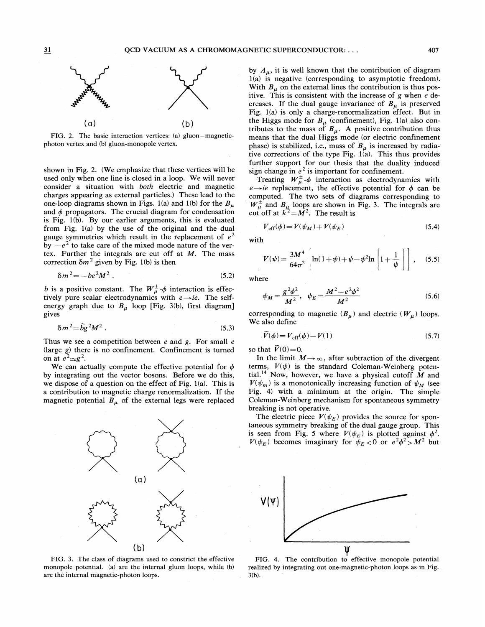

FIG. 2. The basic interaction vertices: (a) gluon-magneticphoton vertex and (b) gluon-monopole vertex.

shown in Fig. 2. (We emphasize that these vertices will be used only when one line is closed in a loop. We will never consider a situation with both electric and magnetic charges appearing as external particles.) These lead to the one-loop diagrams shown in Figs. 1(a) and 1(b) for the  $B_{\mu}$ and  $\phi$  propagators. The crucial diagram for condensation is Fig. 1(b). By our earlier arguments, this is evaluated from Fig. 1(a) by the use of the original and the dual. gauge symmetries which result in the replacement of  $e^2$ by  $-e^2$  to take care of the mixed mode nature of the vertex. Further the integrals are cut off at  $M$ . The mass correction  $\delta m^2$  given by Fig. 1(b) is then

$$
\delta m^2 = -be^2 M^2 \tag{5.2}
$$
 where

b is a positive constant. The  $W^{\pm}_{\mu}$ - $\phi$  interaction is effectively pure scalar electrodynamics with  $e \rightarrow ie$ . The selfenergy graph due to  $B_{\mu}$  loop [Fig. 3(b), first diagram] gives

$$
\delta m^2 = \tilde{b}g^2 M^2 \tag{5.3}
$$

Thus we see a competition between  $e$  and  $g$ . For small  $e$ (large g) there is no confinement. Confinement is turned on at  $e^2 \approx g^2$ .

We can actually compute the effective potential for  $\phi$ by integrating out the vector bosons. Before we do this, we dispose of a question on the effect of Fig. 1(a). This is a contribution to magnetic charge renormalization. If the magnetic potential  $B_{\mu}$  of the external legs were replaced



FIG. 3. The class of diagrams used to constrict the effective monopole potential. (a) are the internal gluon loops, while (b) are the internal magnetic-photon loops.

by  $A_{\mu}$ , it is well known that the contribution of diagram 1(a) is negative (corresponding to asymptotic freedom). With  $B_{\mu}$  on the external lines the contribution is thus positive. This is consistent with the increase of  $g$  when  $e$  decreases. If the dual gauge invariance of  $B_{\mu}$  is preserved Fig. 1(a) is only a charge-renormalization effect. But in the Higgs mode for  $B_{\mu}$  (confinement), Fig. 1(a) also conributes to the mass of  $B_{\mu}$ . A positive contribution thus means that the dual Higgs mode (or electric confinement phase) is stabilized, i.e., mass of  $B_{\mu}$  is increased by radiative corrections of the type Fig.  $1(a)$ . This thus provides further support for our thesis that the duality induced sign change in  $e^2$  is important for confinement.

Treating  $W^{\pm}_{\mu}$ - $\phi$  interaction as electrodynamics with  $e \rightarrow ie$  replacement, the effective potential for  $\phi$  can be computed. The two sets of diagrams corresponding to  $W^{\pm}_{\mu}$  and  $B_{\mu}$  loops are shown in Fig. 3. The integrals are cut off at  $k^2 = M^2$ . The result is

$$
V_{\text{eff}}(\phi) = V(\psi_M) + V(\psi_E) \tag{5.4}
$$

with

$$
V(\psi) = \frac{3M^4}{64\pi^2} \left[ \ln(1+\psi) + \psi - \psi^2 \ln \left[ 1 + \frac{1}{\psi} \right] \right], \quad (5.5)
$$

$$
\psi_M = \frac{g^2 \phi^2}{M^2}, \quad \psi_E = \frac{M^2 - e^2 \phi^2}{M^2} \tag{5.6}
$$

corresponding to magnetic  $(B_\mu)$  and electric  $(W_\mu)$  loops. We also define

$$
\widetilde{V}(\phi) = V_{\text{eff}}(\phi) - V(1) \tag{5.7}
$$

so that  $\widetilde{V}(0)=0$ .

In the limit  $M \rightarrow \infty$ , after subtraction of the divergent terms,  $V(\psi)$  is the standard Coleman-Weinberg potential.<sup>14</sup> Now, however, we have a physical cutoff  $M$  and  $V(\psi_m)$  is a monotonically increasing function of  $\psi_M$  (see Fig. 4) with a minimum at the origin. The simple Coleman-Weinberg mechanism for spontaneous symmetry breaking is not operative.

The electric piece  $V(\psi_E)$  provides the source for spontaneous symmetry breaking of the dual gauge group. This is seen from Fig. 5 where  $V(\psi_E)$  is plotted against  $\phi^2$ .  $V(\psi_E)$  becomes imaginary for  $\psi_E<0$  or  $e^2\phi^2 > M^2$  but



FIG. 4. The contribution to effective monopole potential realized by integrating out one-magnetic-photon loops as in Fig.  $3(b)$ .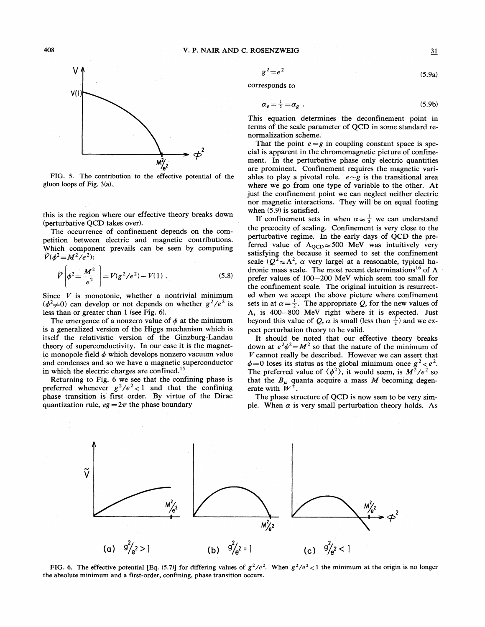

FIG. 5. The contribution to the effective potential of the gluon loops of Fig. 3(a}.

this is the region where our effective theory breaks down (perturbative QCD takes over).

The occurrence of confinement depends on the competition between electric and magnetic contributions. Which component prevails can be seen by computing  $\widetilde{V}(\phi^2 = M^2/e^2)$ :

$$
\widetilde{V}\left(\phi^2 = \frac{M^2}{e^2}\right) = V(g^2/e^2) - V(1)
$$
 (5.8)

Since  $V$  is monotonic, whether a nontrivial minimum  $(\phi^2 \neq 0)$  can develop or not depends on whether  $g^2/e^2$  is less than or greater than <sup>1</sup> (see Fig. 6).

The emergence of a nonzero value of  $\phi$  at the minimum is a generalized version of the Higgs mechanism which is itself the relativistic version of the Ginzburg-Landau theory of superconductivity. In our case it is the magnetic monopole field  $\phi$  which develops nonzero vacuum value and condenses and so we have a magnetic superconductor in which the electric charges are confined.<sup>15</sup>

Returning to Fig. 6 we see that the confining phase is preferred whenever  $g^2/e^2 < 1$  and that the confining phase transition is first order. By virtue of the Dirac quantization rule,  $eg = 2\pi$  the phase boundary

$$
g^2 = e^2
$$

corresponds to

$$
\alpha_e = \frac{1}{2} = \alpha_g \tag{5.9b}
$$

This equation determines the deconfinement point in terms of the scale parameter of QCD in some standard renormalization scheme.

That the point  $e = g$  in coupling constant space is special is apparent in the chromomagnetic picture of confinement. In the perturbative phase only electric quantities are prominent. Confinement requires the magnetic variables to play a pivotal role.  $e \sim g$  is the transitional area where we go from one type of variable to the other. At just the confinement point we can neglect neither electric nor magnetic interactions. They will be on equal footing when (5.9) is satisfied.

If confinement sets in when  $\alpha \approx \frac{1}{2}$  we can understand the precocity of scaling. Confinement is very close to the perturbative regime. In the early days of QCD the preferred value of  $\Lambda_{\text{OCD}} \approx 500$  MeV was intuitively very satisfying the because it seemed to set the confinement scale ( $Q^2 \approx \Lambda^2$ ,  $\alpha$  very large) at a reasonable, typical hadronic mass scale. The most recent determinations<sup>16</sup> of  $\Lambda$ prefer values of <sup>100</sup>—<sup>200</sup> MeV which seem too small for the confinement scale. The original intuition is resurrected when we accept the above picture where confinement ed when we accept the above picture where confinement sets in at  $\alpha = \frac{1}{2}$ . The appropriate Q, for the new values of A, is <sup>400</sup>—<sup>800</sup> MeV right where it is expected. Just beyond this value of Q,  $\alpha$  is small (less than  $\frac{1}{2}$ ) and we expect perturbation theory to be valid.

It should be noted that our effective theory breaks down at  $e^2\phi^2 = M^2$  so that the nature of the minimum of  $V$  cannot really be described. However we can assert that  $\phi$  = 0 loses its status as the global minimum once  $g^2 < e^2$ . The preferred value of  $\langle \phi^2 \rangle$ , it would seem, is  $M^2/e^2$  so that the  $B_{\mu}$  quanta acquire a mass M becoming degen-<br>prate with  $W^{\pm}$ .

The phase structure of QCD is now seen to be very simple. When  $\alpha$  is very small perturbation theory holds. As



FIG. 6. The effective potential [Eq. (5.7)] for differing values of  $g^2/e^2$ . When  $g^2/e^2 < 1$  the minimum at the origin is no longer the absolute minimum and a first-order, confining, phase transition occurs.

(5.9a)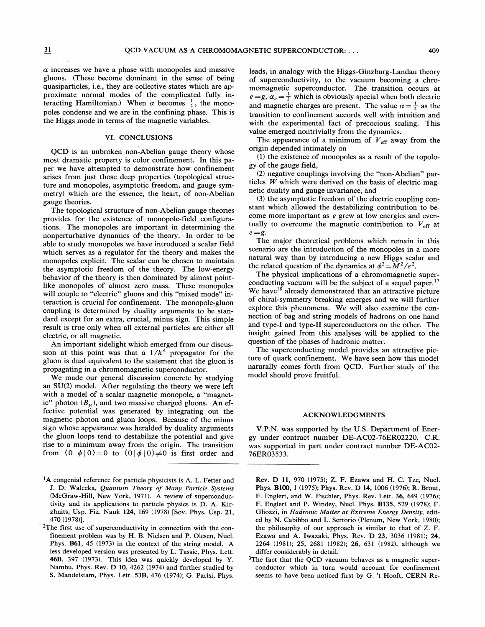$\alpha$  increases we have a phase with monopoles and massive gluons. (These become dominant in the sense of being quasiparticles, i.e., they are collective states which are approximate normal modes of the complicated fully interacting Hamiltonian.) When  $\alpha$  becomes  $\frac{1}{2}$ , the monopoles condense and we are in the confining phase. This is the Higgs mode in terms of the magnetic variables.

#### VI. CONCLUSIONS

QCD is an unbroken non-Abelian gauge theory whose most dramatic property is color confinement. In this paper we have attempted to demonstrate how confinement arises from just those deep properties (topological structure and monopoles, asymptotic freedom, and gauge symmetry) which are the essence, the heart, of non-Abelian gauge theories.

The topological structure of non-Abelian gauge theories provides for the existence of monopole-field configurations. The monopoles are important in determining the nonperturbative dynamics of the theory. In order to be able to study monopoles we have introduced a scalar field which serves as a regulator for the theory and makes the monopoles explicit. The scalar can be chosen to maintain the asymptotic freedom of the theory. The low-energy behavior of the theory is then dominated by almost pointlike monopoles of almost zero mass. These monopoles will couple to "electric" gluons and this "mixed mode" interaction is crucial for confinement. The monopole-gluon coupling is determined by duality arguments to be standard except for an extra, crucial, minus sign. This simple result is true only when all external particles are either all electric, or all magnetic.

An important sidelight which emerged from our discussion at this point was that a  $1/k<sup>4</sup>$  propagator for the gluon is dual equivalent to the statement that the gluon is propagating in a chromomagnetic superconductor.

We made our general discussion concrete by studying an SU(2) model. After regulating the theory we were left with a model of a scalar magnetic monopole, a "magnetic" photon  $(B_u)$ , and two massive charged gluons. An effective potential was generated by integrating out the magnetic photon and gluon loops. Because of the minus sign whose appearance was heralded by duality arguments the gluon loops tend to destabilize the potential and give rise to a minimum away from the origin. The transition from  $\langle 0 | \phi | 0 \rangle = 0$  to  $\langle 0 | \phi | 0 \rangle \neq 0$  is first order and

<sup>2</sup>The first use of superconductivity in connection with the confinement problem was by H. B. Nielsen and P. Olesen, Nucl. Phys. B61, 45 (1973) in the context of the string model. A less developed version was presented by L. Tassie, Phys. Lett. 46B, 397 (1973). This idea was quickly developed by Y. Nambu, Phys. Rev. D 10, 4262 (1974) and further studied by

S. Mandelstam, Phys. Lett. 53B, 476 (1974); G. Parisi, Phys.

leads, in analogy with the Higgs-Ginzburg-Landau theory of superconductivity, to the vacuum becoming a chromomagnetic superconductor. The transition occurs at  $e = g$ ,  $\alpha_e = \frac{1}{2}$  which is obviously special when both electric and magnetic charges are present. The value  $\alpha = \frac{1}{2}$  as the transition to confinement accords well with intuition and with the experimental fact of precocious scaling. This value emerged nontrivially from the dynamics.

The appearance of a minimum of  $V_{\text{eff}}$  away from the origin depended intimately on

(1) the existence. of monopoles as a result of the topology of the gauge field,

(2) negative couplings involving the "non-Abelian" particles  $W$  which were derived on the basis of electric magnetic duality and gauge invariance, and

(3) the asymptotic freedom of the electric coupling constant which allowed the destabilizing contribution to become more important as e grew at low energies and eventually to overcome the magnetic contribution to  $V_{\text{eff}}$  at  $e = g$ .

The major theoretical problems which remain in this scenario are the introduction of the monopoles in a more natural way than by introducing a new Higgs scalar and the related question of the dynamics at  $\phi^2 = M^2 / e^2$ .

The physical implications of a chromomagnetic superconducting vacuum will be the subject of a sequel paper.<sup>17</sup> We have<sup>18</sup> already demonstrated that an attractive picture of chiral-symmetry breaking emerges and we will further explore this phenomena. We will also examine the connection of bag and string models of hadrons on one hand and type-I and type-II superconductors on the other. The insight gained from this analyses will be applied to the question of the phases of hadronic matter.

The superconducting model provides an attractive picture of quark confinement. We have seen how this model naturally comes forth from QCD. Further study of the model should prove fruitful.

#### ACKNOWLEDGMENTS

V.P.N. was supported by the U.S. Department of Energy under contract number DE-AC02-76ER02220. C.R. was supported in part under contract number DE-AC02- 76ER03533.

<sup>&</sup>lt;sup>1</sup>A congenial reference for particle physicists is A. L. Fetter and J. D. Walecka, Quantum Theory of Many Particle Systems (McGraw-Hill, New York, 1971). A review of superconductivity and its applications to particle physics is D. A. Kirzhnits, Usp. Fiz. Nauk 124, 169 (1978) [Sov. Phys. Usp. 21, 470 (1978)].

Rev. D 11, 970 (1975); Z. F. Ezawa and H. C. Tze, Nucl. Phys. B100, 1 (1975); Phys. Rev. D 14, 1006 (1976); R. Brout, F. Englert, and W. Fischler, Phys. Rev. Lett. 36, 649 (1976); F. Englert and P. Windey, Nucl. Phys. B135, 529 (1978); F. Gliozzi, in Hadronic Matter at Extreme Energy Density, edited by N. Cabibbo and L. Sertorio (Plenum, New York, 1980); the philosophy of our approach is similar to that of Z. F. Ezawa and A. Iwazaki, Phys. Rev. D 23, 3036 (1981); 24, 2264 (1981); 25, 2681 (1982); 26, 631 (1982), although we differ considerably in detail.

<sup>&</sup>lt;sup>3</sup>The fact that the QCD vacuum behaves as a magnetic superconductor which in turn would account for confinement seems to have been noticed first by G. 't Hooft, CERN Re-